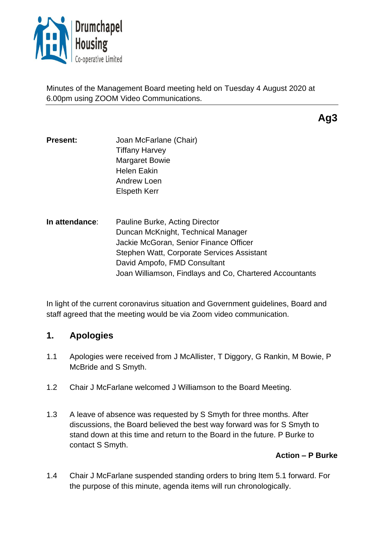

Minutes of the Management Board meeting held on Tuesday 4 August 2020 at 6.00pm using ZOOM Video Communications.

**Ag3**

- **Present:** Joan McFarlane (Chair) Tiffany Harvey Margaret Bowie Helen Eakin Andrew Loen Elspeth Kerr
- **In attendance**: Pauline Burke, Acting Director Duncan McKnight, Technical Manager Jackie McGoran, Senior Finance Officer Stephen Watt, Corporate Services Assistant David Ampofo, FMD Consultant Joan Williamson, Findlays and Co, Chartered Accountants

In light of the current coronavirus situation and Government guidelines, Board and staff agreed that the meeting would be via Zoom video communication.

# **1. Apologies**

- 1.1 Apologies were received from J McAllister, T Diggory, G Rankin, M Bowie, P McBride and S Smyth.
- 1.2 Chair J McFarlane welcomed J Williamson to the Board Meeting.
- 1.3 A leave of absence was requested by S Smyth for three months. After discussions, the Board believed the best way forward was for S Smyth to stand down at this time and return to the Board in the future. P Burke to contact S Smyth.

## **Action – P Burke**

1.4 Chair J McFarlane suspended standing orders to bring Item 5.1 forward. For the purpose of this minute, agenda items will run chronologically.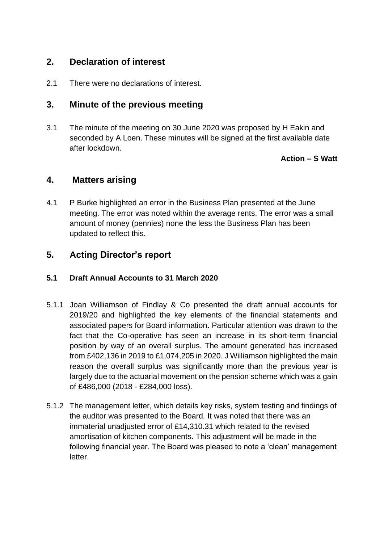# **2. Declaration of interest**

2.1 There were no declarations of interest.

# **3. Minute of the previous meeting**

3.1 The minute of the meeting on 30 June 2020 was proposed by H Eakin and seconded by A Loen. These minutes will be signed at the first available date after lockdown.

## **Action – S Watt**

## **4. Matters arising**

4.1 P Burke highlighted an error in the Business Plan presented at the June meeting. The error was noted within the average rents. The error was a small amount of money (pennies) none the less the Business Plan has been updated to reflect this.

# **5. Acting Director's report**

## **5.1 Draft Annual Accounts to 31 March 2020**

- 5.1.1 Joan Williamson of Findlay & Co presented the draft annual accounts for 2019/20 and highlighted the key elements of the financial statements and associated papers for Board information. Particular attention was drawn to the fact that the Co-operative has seen an increase in its short-term financial position by way of an overall surplus. The amount generated has increased from £402,136 in 2019 to £1,074,205 in 2020. J Williamson highlighted the main reason the overall surplus was significantly more than the previous year is largely due to the actuarial movement on the pension scheme which was a gain of £486,000 (2018 - £284,000 loss).
- 5.1.2 The management letter, which details key risks, system testing and findings of the auditor was presented to the Board. It was noted that there was an immaterial unadjusted error of £14,310.31 which related to the revised amortisation of kitchen components. This adjustment will be made in the following financial year. The Board was pleased to note a 'clean' management letter.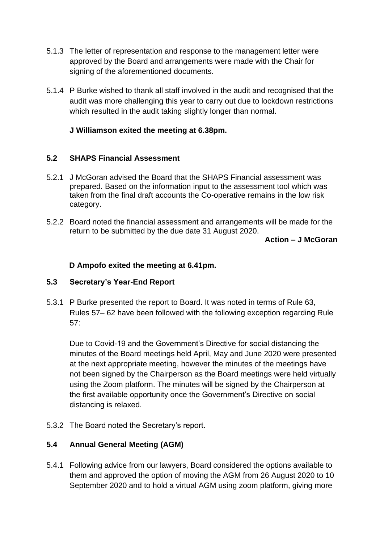- 5.1.3 The letter of representation and response to the management letter were approved by the Board and arrangements were made with the Chair for signing of the aforementioned documents.
- 5.1.4 P Burke wished to thank all staff involved in the audit and recognised that the audit was more challenging this year to carry out due to lockdown restrictions which resulted in the audit taking slightly longer than normal.

## **J Williamson exited the meeting at 6.38pm.**

## **5.2 SHAPS Financial Assessment**

- 5.2.1 J McGoran advised the Board that the SHAPS Financial assessment was prepared. Based on the information input to the assessment tool which was taken from the final draft accounts the Co-operative remains in the low risk category.
- 5.2.2 Board noted the financial assessment and arrangements will be made for the return to be submitted by the due date 31 August 2020.

**Action – J McGoran**

## **D Ampofo exited the meeting at 6.41pm.**

## **5.3 Secretary's Year-End Report**

5.3.1 P Burke presented the report to Board. It was noted in terms of Rule 63, Rules 57– 62 have been followed with the following exception regarding Rule 57:

Due to Covid-19 and the Government's Directive for social distancing the minutes of the Board meetings held April, May and June 2020 were presented at the next appropriate meeting, however the minutes of the meetings have not been signed by the Chairperson as the Board meetings were held virtually using the Zoom platform. The minutes will be signed by the Chairperson at the first available opportunity once the Government's Directive on social distancing is relaxed.

5.3.2 The Board noted the Secretary's report.

## **5.4 Annual General Meeting (AGM)**

5.4.1 Following advice from our lawyers, Board considered the options available to them and approved the option of moving the AGM from 26 August 2020 to 10 September 2020 and to hold a virtual AGM using zoom platform, giving more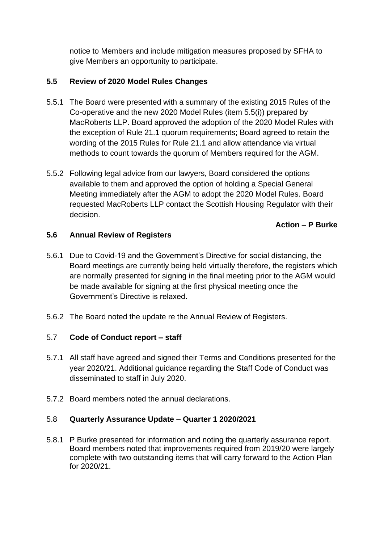notice to Members and include mitigation measures proposed by SFHA to give Members an opportunity to participate.

## **5.5 Review of 2020 Model Rules Changes**

- 5.5.1 The Board were presented with a summary of the existing 2015 Rules of the Co-operative and the new 2020 Model Rules (item 5.5(i)) prepared by MacRoberts LLP. Board approved the adoption of the 2020 Model Rules with the exception of Rule 21.1 quorum requirements; Board agreed to retain the wording of the 2015 Rules for Rule 21.1 and allow attendance via virtual methods to count towards the quorum of Members required for the AGM.
- 5.5.2 Following legal advice from our lawyers, Board considered the options available to them and approved the option of holding a Special General Meeting immediately after the AGM to adopt the 2020 Model Rules. Board requested MacRoberts LLP contact the Scottish Housing Regulator with their decision.

### **Action – P Burke**

## **5.6 Annual Review of Registers**

- 5.6.1 Due to Covid-19 and the Government's Directive for social distancing, the Board meetings are currently being held virtually therefore, the registers which are normally presented for signing in the final meeting prior to the AGM would be made available for signing at the first physical meeting once the Government's Directive is relaxed.
- 5.6.2 The Board noted the update re the Annual Review of Registers.

## 5.7 **Code of Conduct report – staff**

- 5.7.1 All staff have agreed and signed their Terms and Conditions presented for the year 2020/21. Additional guidance regarding the Staff Code of Conduct was disseminated to staff in July 2020.
- 5.7.2 Board members noted the annual declarations.

## 5.8 **Quarterly Assurance Update – Quarter 1 2020/2021**

5.8.1 P Burke presented for information and noting the quarterly assurance report. Board members noted that improvements required from 2019/20 were largely complete with two outstanding items that will carry forward to the Action Plan for 2020/21.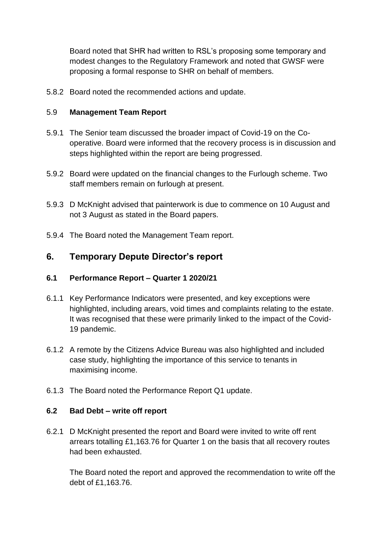Board noted that SHR had written to RSL's proposing some temporary and modest changes to the Regulatory Framework and noted that GWSF were proposing a formal response to SHR on behalf of members.

5.8.2 Board noted the recommended actions and update.

### 5.9 **Management Team Report**

- 5.9.1 The Senior team discussed the broader impact of Covid-19 on the Cooperative. Board were informed that the recovery process is in discussion and steps highlighted within the report are being progressed.
- 5.9.2 Board were updated on the financial changes to the Furlough scheme. Two staff members remain on furlough at present.
- 5.9.3 D McKnight advised that painterwork is due to commence on 10 August and not 3 August as stated in the Board papers.
- 5.9.4 The Board noted the Management Team report.

## **6. Temporary Depute Director's report**

## **6.1 Performance Report – Quarter 1 2020/21**

- 6.1.1 Key Performance Indicators were presented, and key exceptions were highlighted, including arears, void times and complaints relating to the estate. It was recognised that these were primarily linked to the impact of the Covid-19 pandemic.
- 6.1.2 A remote by the Citizens Advice Bureau was also highlighted and included case study, highlighting the importance of this service to tenants in maximising income.
- 6.1.3 The Board noted the Performance Report Q1 update.

## **6.2 Bad Debt – write off report**

6.2.1 D McKnight presented the report and Board were invited to write off rent arrears totalling £1,163.76 for Quarter 1 on the basis that all recovery routes had been exhausted.

The Board noted the report and approved the recommendation to write off the debt of £1,163.76.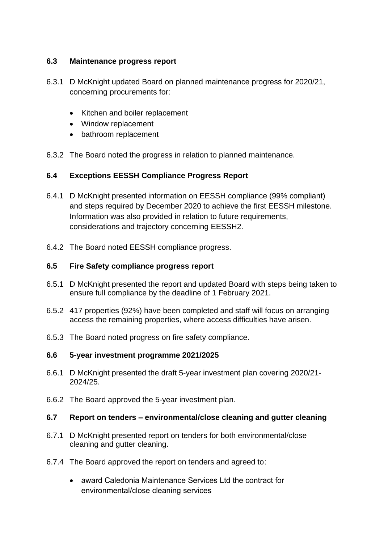#### **6.3 Maintenance progress report**

- 6.3.1 D McKnight updated Board on planned maintenance progress for 2020/21, concerning procurements for:
	- Kitchen and boiler replacement
	- Window replacement
	- bathroom replacement
- 6.3.2 The Board noted the progress in relation to planned maintenance.

## **6.4 Exceptions EESSH Compliance Progress Report**

- 6.4.1 D McKnight presented information on EESSH compliance (99% compliant) and steps required by December 2020 to achieve the first EESSH milestone. Information was also provided in relation to future requirements, considerations and trajectory concerning EESSH2.
- 6.4.2 The Board noted EESSH compliance progress.

#### **6.5 Fire Safety compliance progress report**

- 6.5.1 D McKnight presented the report and updated Board with steps being taken to ensure full compliance by the deadline of 1 February 2021.
- 6.5.2 417 properties (92%) have been completed and staff will focus on arranging access the remaining properties, where access difficulties have arisen.
- 6.5.3 The Board noted progress on fire safety compliance.

#### **6.6 5-year investment programme 2021/2025**

- 6.6.1 D McKnight presented the draft 5-year investment plan covering 2020/21- 2024/25.
- 6.6.2 The Board approved the 5-year investment plan.

#### **6.7 Report on tenders – environmental/close cleaning and gutter cleaning**

- 6.7.1 D McKnight presented report on tenders for both environmental/close cleaning and gutter cleaning.
- 6.7.4 The Board approved the report on tenders and agreed to:
	- award Caledonia Maintenance Services Ltd the contract for environmental/close cleaning services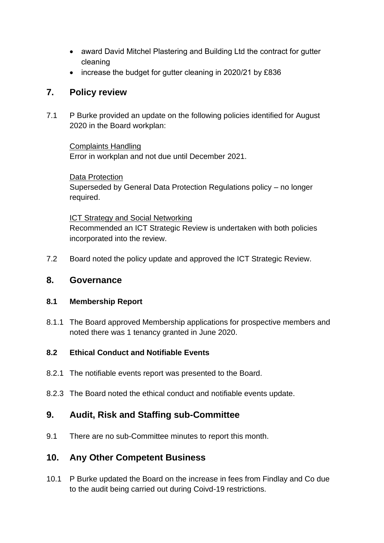- award David Mitchel Plastering and Building Ltd the contract for gutter cleaning
- increase the budget for gutter cleaning in 2020/21 by £836

# **7. Policy review**

7.1 P Burke provided an update on the following policies identified for August 2020 in the Board workplan:

Complaints Handling Error in workplan and not due until December 2021.

Data Protection Superseded by General Data Protection Regulations policy – no longer required.

ICT Strategy and Social Networking Recommended an ICT Strategic Review is undertaken with both policies incorporated into the review.

7.2 Board noted the policy update and approved the ICT Strategic Review.

## **8. Governance**

#### **8.1 Membership Report**

8.1.1 The Board approved Membership applications for prospective members and noted there was 1 tenancy granted in June 2020.

## **8.2 Ethical Conduct and Notifiable Events**

- 8.2.1 The notifiable events report was presented to the Board.
- 8.2.3 The Board noted the ethical conduct and notifiable events update.

# **9. Audit, Risk and Staffing sub-Committee**

9.1 There are no sub-Committee minutes to report this month.

## **10. Any Other Competent Business**

10.1 P Burke updated the Board on the increase in fees from Findlay and Co due to the audit being carried out during Coivd-19 restrictions.